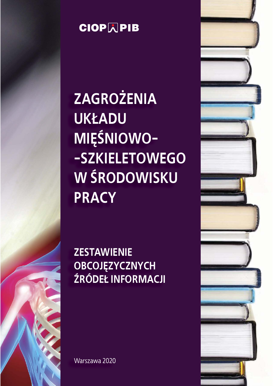

**ZAGROŻENIA UK£ADU MIÊŚNIOWO- -SZKIELETOWEGO W ŚRODOWISKU PRACY** 

**ZESTAWIENIE OBCOJĘZYCZNYCH ŹRÓDE£ INFORMACJI**

Warszawa 2020

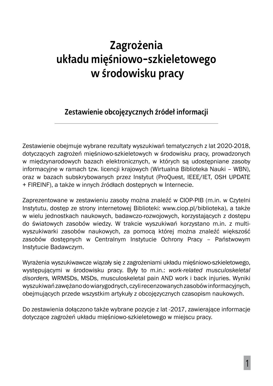#### **Zagro¿enia uk³adu miêśniowo-szkieletowego w środowisku pracy**

#### **Zestawienie obcojêzycznych źróde³ informacji**

Zestawienie obejmuje wybrane rezultaty wyszukiwań tematycznych z lat 2020-2018, dotyczących zagrożeń mięśniowo-szkieletowych w środowisku pracy, prowadzonych w międzynarodowych bazach elektronicznych, w których są udostępniane zasoby informacyjne w ramach tzw. licencji krajowych (Wirtualna Biblioteka Nauki – WBN), oraz w bazach subskrybowanych przez Instytut (ProQuest, IEEE/IET, OSH UPDATE + FIREINF), a także w innych źródłach dostępnych w Internecie.

Zaprezentowane w zestawieniu zasoby można znaleźć w CIOP-PIB (m.in. w Czytelni Instytutu, dostęp ze strony internetowej Biblioteki: www.ciop.pl/biblioteka), a także w wielu jednostkach naukowych, badawczo-rozwojowych, korzystających z dostępu do światowych zasobów wiedzy. W trakcie wyszukiwań korzystano m.in. z multiwyszukiwarki zasobów naukowych, za pomocą której można znaleźć większość zasobów dostępnych w Centralnym Instytucie Ochrony Pracy – Państwowym Instytucie Badawczym.

Wyrażenia wyszukiwawcze wiązały się z zagrożeniami układu mięśniowo-szkieletowego, występującymi w środowisku pracy. Były to m.in.: *work-related musculoskeletal disorders,* WRMSDs, MSDs, musculoskeletal pain AND work i back injuries. Wyniki wyszukiwań zawężano do wiarygodnych, czyli recenzowanych zasobów informacyjnych, obejmujących przede wszystkim artykuły z obcojęzycznych czasopism naukowych.

Do zestawienia dołączono także wybrane pozycje z lat -2017, zawierające informacje dotyczące zagrożeń układu mięśniowo-szkieletowego w miejscu pracy.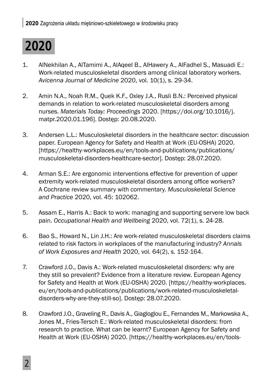# **2020**

- 1. AlNekhilan A., AlTamimi A., AlAqeel B., AlHawery A., AlFadhel S., Masuadi E.: Work-related musculoskeletal disorders among clinical laboratory workers. *Avicenna Journal of Medicine* 2020, vol. 10(1), s. 29-34.
- 2. Amin N.A., Noah R.M., Quek K.F., Oxley J.A., Rusli B.N.: Perceived physical demands in relation to work-related musculoskeletal disorders among nurses. *Materials Today: Proceedings* 2020. [https://doi.org/10.1016/j. matpr.2020.01.196]. Dostęp: 20.08.2020.
- 3. Andersen L.L.: Musculoskeletal disorders in the healthcare sector: discussion paper. European Agency for Safety and Health at Work (EU-OSHA) 2020. [https://healthy-workplaces.eu/en/tools-and-publications/publications/ musculoskeletal-disorders-healthcare-sector]. Dostęp: 28.07.2020.
- 4. Arman S.E.: Are ergonomic interventions effective for prevention of upper extremity work-related musculoskeletal disorders among office workers? A Cochrane review summary with commentary. *Musculoskeletal Science and Practice* 2020, vol. 45: 102062.
- 5. Assam E., Harris A.: Back to work: managing and supporting servere low back pain. *Occupational Health and Wellbeing* 2020, vol. 72(1), s. 24-28.
- 6. Bao S., Howard N., Lin J.H.: Are work-related musculoskeletal disorders claims related to risk factors in workplaces of the manufacturing industry? *Annals of Work Exposures and Health* 2020, vol. 64(2), s. 152-164.
- 7. Crawford J.O., Davis A.: Work-related musculoskeletal disorders: why are they still so prevalent? Evidence from a literature review. European Agency for Safety and Health at Work (EU-OSHA) 2020. [https://healthy-workplaces. eu/en/tools-and-publications/publications/work-related-musculoskeletaldisorders-why-are-they-still-so]. Dostęp: 28.07.2020.
- 8. Crawford J.O., Graveling R., Davis A., Giagloglou E., Fernandes M., Markowska A., Jones M., Fries-Tersch E.: Work-related musculoskeletal disorders: from research to practice. What can be learnt? European Agency for Safety and Health at Work (EU-OSHA) 2020. [https://healthy-workplaces.eu/en/tools-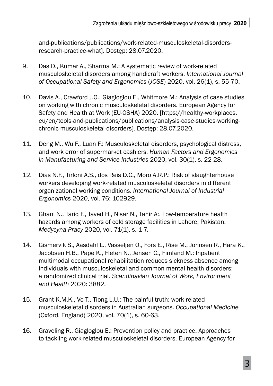and-publications/publications/work-related-musculoskeletal-disordersresearch-practice-what]. Dostęp: 28.07.2020.

- 9. Das D., Kumar A., Sharma M.: A systematic review of work-related musculoskeletal disorders among handicraft workers. *International Journal of Occupational Safety and Ergonomics* (*JOSE*) 2020, vol. 26(1), s. 55-70.
- 10. Davis A., Crawford J.O., Giagloglou E., Whitmore M.: Analysis of case studies on working with chronic musculoskeletal disorders. European Agency for Safety and Health at Work (EU-OSHA) 2020. [https://healthy-workplaces. eu/en/tools-and-publications/publications/analysis-case-studies-workingchronic-musculoskeletal-disorders]. Dostęp: 28.07.2020.
- 11. Deng M., Wu F., Luan F.: Musculoskeletal disorders, psychological distress, and work error of supermarket cashiers. *Human Factors and Ergonomics in Manufacturing and Service Industries* 2020, vol. 30(1), s. 22-28.
- 12. Dias N.F., Tirloni A.S., dos Reis D.C., Moro A.R.P.: Risk of slaughterhouse workers developing work-related musculoskeletal disorders in different organizational working conditions. *International Journal of Industrial Ergonomics* 2020, vol. 76: 102929.
- 13. Ghani N., Tariq F., Javed H., Nisar N., Tahir A:. Low-temperature health hazards among workers of cold storage facilities in Lahore, Pakistan. *Medycyna Pracy* 2020, vol. 71(1), s. 1-7.
- 14. Gismervik S., Aasdahl L., Vasseljen O., Fors E., Rise M., Johnsen R., Hara K., Jacobsen H.B., Pape K., Fleten N., Jensen C., Fimland M.: Inpatient multimodal occupational rehabilitation reduces sickness absence among individuals with musculoskeletal and common mental health disorders: a randomized clinical trial. *Scandinavian Journal of Work, Environment and Health* 2020: 3882.
- 15. Grant K.M.K., Vo T., Tiong L.U.: The painful truth: work-related musculoskeletal disorders in Australian surgeons. *Occupational Medicine*  (Oxford, England) 2020, vol. 70(1), s. 60-63.
- 16. Graveling R., Giagloglou E.: Prevention policy and practice. Approaches to tackling work-related musculoskeletal disorders. European Agency for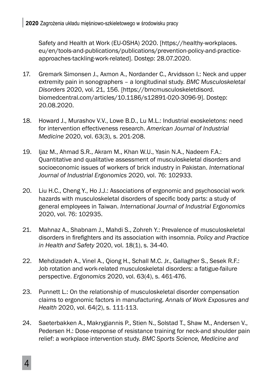Safety and Health at Work (EU-OSHA) 2020. [https://healthy-workplaces. eu/en/tools-and-publications/publications/prevention-policy-and-practiceapproaches-tackling-work-related]. Dostęp: 28.07.2020.

- 17. Gremark Simonsen J., Axmon A., Nordander C., Arvidsson I.: Neck and upper extremity pain in sonographers – a longitudinal study. *BMC Musculoskeletal Disorders* 2020, vol. 21, 156. [https://bmcmusculoskeletdisord. biomedcentral.com/articles/10.1186/s12891-020-3096-9]. Dostęp: 20.08.2020.
- 18. Howard J., Murashov V.V., Lowe B.D., Lu M.L.: Industrial exoskeletons: need for intervention effectiveness research. *American Journal of Industrial Medicine* 2020, vol. 63(3), s. 201-208.
- 19. Ijaz M., Ahmad S.R., Akram M., Khan W.U., Yasin N.A., Nadeem F.A.: Quantitative and qualitative assessment of musculoskeletal disorders and socioeconomic issues of workers of brick industry in Pakistan. *International Journal of Industrial Ergonomics* 2020, vol. 76: 102933.
- 20. Liu H.C., Cheng Y., Ho J.J.: Associations of ergonomic and psychosocial work hazards with musculoskeletal disorders of specific body parts: a study of general employees in Taiwan. *International Journal of Industrial Ergonomics*  2020, vol. 76: 102935.
- 21. Mahnaz A., Shabnam J., Mahdi S., Zohreh Y.: Prevalence of musculoskeletal disorders in firefighters and its association with insomnia. *Policy and Practice in Health and Safety* 2020, vol. 18(1), s. 34-40.
- 22. Mehdizadeh A., Vinel A., Qiong H., Schall M.C. Jr., Gallagher S., Sesek R.F.: Job rotation and work-related musculoskeletal disorders: a fatigue-failure perspective. *Ergonomics* 2020, vol. 63(4), s. 461-476.
- 23. Punnett L.: On the relationship of musculoskeletal disorder compensation claims to ergonomic factors in manufacturing. *Annals of Work Exposures and Health* 2020, vol. 64(2), s. 111-113.
- 24. Saeterbakken A., Makrygiannis P., Stien N., Solstad T., Shaw M., Andersen V., Pedersen H.: Dose-response of resistance training for neck-and shoulder pain relief: a workplace intervention study. *BMC Sports Science, Medicine and*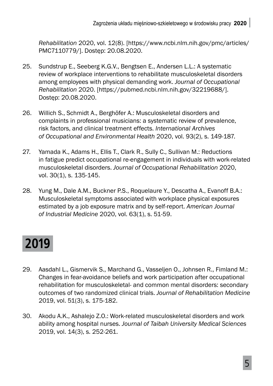*Rehabilitation* 2020, vol. 12(8). [https://www.ncbi.nlm.nih.gov/pmc/articles/ PMC7110779/]. Dostęp: 20.08.2020.

- 25. Sundstrup E., Seeberg K.G.V., Bengtsen E., Andersen L.L.: A systematic review of workplace interventions to rehabilitate musculoskeletal disorders among employees with physical demanding work. *Journal of Occupational Rehabilitation* 2020. [https://pubmed.ncbi.nlm.nih.gov/32219688/]. Dostęp: 20.08.2020.
- 26. Willich S., Schmidt A., Berghöfer A.: Musculoskeletal disorders and complaints in professional musicians: a systematic review of prevalence, risk factors, and clinical treatment effects. *International Archives of Occupational and Environmental Health* 2020, vol. 93(2), s. 149-187.
- 27. Yamada K., Adams H., Ellis T., Clark R., Sully C., Sullivan M.: Reductions in fatigue predict occupational re-engagement in individuals with work-related musculoskeletal disorders. *Journal of Occupational Rehabilitation* 2020, vol. 30(1), s. 135-145.
- 28. Yung M., Dale A.M., Buckner P.S., Roquelaure Y., Descatha A., Evanoff B.A.: Musculoskeletal symptoms associated with workplace physical exposures estimated by a job exposure matrix and by self-report. *American Journal of Industrial Medicine* 2020, vol. 63(1), s. 51-59.

## **2019**

- 29. Aasdahl L., Gismervik S., Marchand G., Vasseljen O., Johnsen R., Fimland M.: Changes in fear-avoidance beliefs and work participation after occupational rehabilitation for musculoskeletal- and common mental disorders: secondary outcomes of two randomized clinical trials. *Journal of Rehabilitation Medicine*  2019, vol. 51(3), s. 175-182.
- 30. Akodu A.K., Ashalejo Z.O.: Work-related musculoskeletal disorders and work ability among hospital nurses. *Journal of Taibah University Medical Sciences* 2019, vol. 14(3), s. 252-261.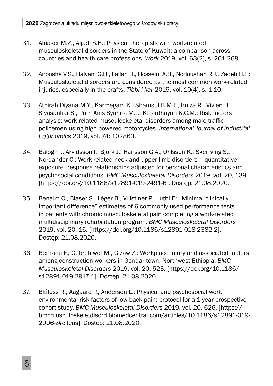- 31. Alnaser M.Z., Aljadi S.H.: Physical therapists with work-related musculoskeletal disorders in the State of Kuwait: a comparison across countries and health care professions. *Work* 2019, vol. 63(2), s. 261-268.
- 32. Anooshe V.S., Halvani G.H., Fallah H., Hosseini A.H., Nodoushan R.J., Zadeh H.F.: Musculoskeletal disorders are considered as the most common work-related injuries, especially in the crafts. *Tibbi-i-kar* 2019, vol. 10(4), s. 1-10.
- 33. Athirah Diyana M.Y., Karmegam K., Shamsul B.M.T., Irniza R., Vivien H., Sivasankar S., Putri Anis Syahira M.J., Kulanthayan K.C.M.: Risk factors analysis: work-related musculoskeletal disorders among male traffic policemen using high-powered motorcycles. *International Journal of Industrial Ergonomics* 2019, vol. 74: 102863.
- 34. Balogh I., Arvidsson I., Björk J., Hansson G.Å., Ohlsson K., Skerfving S., Nordander C.: Work-related neck and upper limb disorders – quantitative exposure–response relationships adjusted for personal characteristics and psychosocial conditions. *BMC Musculoskeletal Disorders* 2019, vol. 20, 139. [https://doi.org/10.1186/s12891-019-2491-6]. Dostęp: 21.08.2020.
- 35. Benaim C., Blaser S., Léger B., Vuistiner P., Luthi F.: "Minimal clinically important difference" estimates of 6 commonly-used performance tests in patients with chronic musculoskeletal pain completing a work-related multidisciplinary rehabilitation program. *BMC Musculoskeletal Disorders*  2019, vol. 20, 16. [https://doi.org/10.1186/s12891-018-2382-2]. Dostęp: 21.08.2020.
- 36. Berhanu F., Gebrehiwot M., Gizaw Z.: Workplace injury and associated factors among construction workers in Gondar town, Northwest Ethiopia. *BMC Musculoskeletal Disorders* 2019, vol. 20, 523. [https://doi.org/10.1186/ s12891-019-2917-1]. Dostęp: 21.08.2020.
- 37. Bláfoss R., Aagaard P., Andersen L.: Physical and psychosocial work environmental risk factors of low-back pain: protocol for a 1 year prospective cohort study. *BMC Musculoskeletal Disorders* 2019, vol. 20, 626. [https:// bmcmusculoskeletdisord.biomedcentral.com/articles/10.1186/s12891-019- 2996-z#citeas]. Dostęp: 21.08.2020.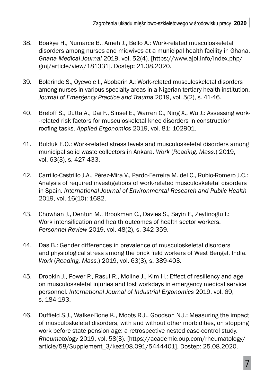- 38. Boakye H., Numarce B., Ameh J., Bello A.: Work-related musculoskeletal disorders among nurses and midwives at a municipal health facility in Ghana. *Ghana Medical Journal* 2019, vol. 52(4). [https://www.ajol.info/index.php/ gmj/article/view/181331]. Dostęp: 21.08.2020.
- 39. Bolarinde S., Oyewole I., Abobarin A.: Work-related musculoskeletal disorders among nurses in various specialty areas in a Nigerian tertiary health institution. *Journal of Emergency Practice and Trauma* 2019, vol. 5(2), s. 41-46.
- 40. Breloff S., Dutta A., Dai F., Sinsel E., Warren C., Ning X., Wu J.: Assessing work- -related risk factors for musculoskeletal knee disorders in construction roofing tasks. *Applied Ergonomics* 2019, vol. 81: 102901.
- 41. Bulduk E.Ö.: Work-related stress levels and musculoskeletal disorders among municipal solid waste collectors in Ankara. *Work* (*Reading, Mass.*) 2019, vol. 63(3), s. 427-433.
- 42. Carrillo-Castrillo J.A., Pérez-Mira V., Pardo-Ferreira M. del C., Rubio-Romero J.C.: Analysis of required investigations of work-related musculoskeletal disorders in Spain. *International Journal of Environmental Research and Public Health* 2019, vol. 16(10): 1682.
- 43. Chowhan J., Denton M., Brookman C., Davies S., Sayin F., Zeytinoglu I.: Work intensification and health outcomes of health sector workers. *Personnel Review* 2019, vol. 48(2), s. 342-359.
- 44. Das B.: Gender differences in prevalence of musculoskeletal disorders and physiological stress among the brick field workers of West Bengal, India. *Work* (*Reading, Mass.*) 2019, vol. 63(3), s. 389-403.
- 45. Dropkin J., Power P., Rasul R., Moline J., Kim H.: Effect of resiliency and age on musculoskeletal injuries and lost workdays in emergency medical service personnel. *International Journal of Industrial Ergonomics* 2019, vol. 69, s. 184-193.
- 46. Duffield S.J., Walker-Bone K., Moots R.J., Goodson N.J.: Measuring the impact of musculoskeletal disorders, with and without other morbidities, on stopping work before state pension age: a retrospective nested case-control study. *Rheumatology* 2019, vol. 58(3). [https://academic.oup.com/rheumatology/ article/58/Supplement\_3/kez108.091/5444401]. Dostęp: 25.08.2020.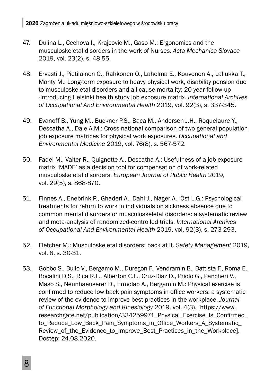**| <sup>2020</sup>**Zagrożenia układu mięśniowo-szkieletowego w środowisku pracy

- 47. Dulina L., Cechova I., Krajcovic M., Gaso M.: Ergonomics and the musculoskeletal disorders in the work of Nurses. *Acta Mechanica Slovaca* 2019, vol. 23(2), s. 48-55.
- 48. Ervasti J., Pietilainen O., Rahkonen O., Lahelma E., Kouvonen A., Lallukka T., Manty M.: Long-term exposure to heavy physical work, disability pension due to musculoskeletal disorders and all-cause mortality: 20-year follow-up- -introducing Helsinki health study job exposure matrix. *International Archives of Occupational And Environmental Health* 2019, vol. 92(3), s. 337-345.
- 49. Evanoff B., Yung M., Buckner P.S., Baca M., Andersen J.H., Roquelaure Y., Descatha A., Dale A.M.: Cross-national comparison of two general population job exposure matrices for physical work exposures. *Occupational and Environmental Medicine* 2019, vol. 76(8), s. 567-572.
- 50. Fadel M., Valter R., Quignette A., Descatha A.: Usefulness of a job-exposure matrix 'MADE' as a decision tool for compensation of work-related musculoskeletal disorders. *European Journal of Public Health* 2019, vol. 29(5), s. 868-870.
- 51. Finnes A., Enebrink P., Ghaderi A., Dahl J., Nager A., Öst L.G.: Psychological treatments for return to work in individuals on sickness absence due to common mental disorders or musculoskeletal disorders: a systematic review and meta-analysis of randomized-controlled trials. *International Archives of Occupational And Environmental Health* 2019, vol. 92(3), s. 273-293.
- 52. Fletcher M.: Musculoskeletal disorders: back at it. *Safety Management* 2019, vol. 8, s. 30-31.
- 53. Gobbo S., Bullo V., Bergamo M., Duregon F., Vendramin B., Battista F., Roma E., Bocalini D.S., Rica R.L., Alberton C.L., Cruz-Diaz D., Priolo G., Pancheri V., Maso S., Neunhaeuserer D., Ermolao A., Bergamin M.: Physical exercise is confirmed to reduce low back pain symptoms in office workers: a systematic review of the evidence to improve best practices in the workplace. *Journal of Functional Morphology and Kinesiology* 2019, vol. 4(3). [https://www. researchgate.net/publication/334259971\_Physical\_Exercise\_Is\_Confirmed\_ to Reduce Low Back Pain Symptoms in Office Workers A Systematic Review\_of\_the\_Evidence\_to\_Improve\_Best\_Practices\_in\_the\_Workplace]. Dostęp: 24.08.2020.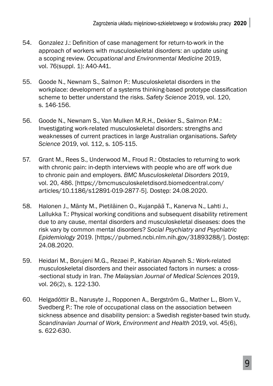- 54. Gonzalez J.: Definition of case management for return-to-work in the approach of workers with musculoskeletal disorders: an update using a scoping review. *Occupational and Environmental Medicine* 2019, vol. 76(suppl. 1): A40-A41.
- 55. Goode N., Newnam S., Salmon P.: Musculoskeletal disorders in the workplace: development of a systems thinking-based prototype classification scheme to better understand the risks. *Safety Science* 2019, vol. 120, s. 146-156.
- 56. Goode N., Newnam S., Van Mulken M.R.H., Dekker S., Salmon P.M.: Investigating work-related musculoskeletal disorders: strengths and weaknesses of current practices in large Australian organisations. *Safety Science* 2019, vol. 112, s. 105-115.
- 57. Grant M., Rees S., Underwood M., Froud R.: Obstacles to returning to work with chronic pain: in-depth interviews with people who are off work due to chronic pain and employers. *BMC Musculoskeletal Disorders* 2019, vol. 20, 486. [https://bmcmusculoskeletdisord.biomedcentral.com/ articles/10.1186/s12891-019-2877-5]. Dostęp: 24.08.2020.
- 58. Halonen J., Mänty M., Pietiläinen O., Kujanpää T., Kanerva N., Lahti J., Lallukka T.: Physical working conditions and subsequent disability retirement due to any cause, mental disorders and musculoskeletal diseases: does the risk vary by common mental disorders? *Social Psychiatry and Psychiatric Epidemiology* 2019. [https://pubmed.ncbi.nlm.nih.gov/31893288/]. Dostęp: 24.08.2020.
- 59. Heidari M., Borujeni M.G., Rezaei P., Kabirian Abyaneh S.: Work-related musculoskeletal disorders and their associated factors in nurses: a cross- -sectional study in Iran. *The Malaysian Journal of Medical Sciences* 2019, vol. 26(2), s. 122-130.
- 60. Helgadóttir B., Narusyte J., Ropponen A., Bergström G., Mather L., Blom V., Svedberg P.: The role of occupational class on the association between sickness absence and disability pension: a Swedish register-based twin study. *Scandinavian Journal of Work, Environment and Health* 2019, vol. 45(6), s. 622-630.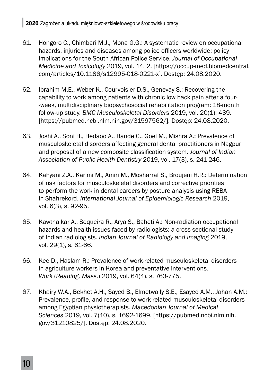- 61. Hongoro C., Chimbari M.J., Mona G.G.: A systematic review on occupational hazards, injuries and diseases among police officers worldwide: policy implications for the South African Police Service. *Journal of Occupational Medicine and Toxicology* 2019, vol. 14, 2. [https://occup-med.biomedcentral. com/articles/10.1186/s12995-018-0221-x]. Dostęp: 24.08.2020.
- 62. Ibrahim M.E., Weber K., Courvoisier D.S., Genevay S.: Recovering the capability to work among patients with chronic low back pain after a four- -week, multidisciplinary biopsychosocial rehabilitation program: 18-month follow-up study. *BMC Musculoskeletal Disorders* 2019, vol. 20(1): 439. [https://pubmed.ncbi.nlm.nih.gov/31597562/]. Dostęp: 24.08.2020.
- 63. Joshi A., Soni H., Hedaoo A., Bande C., Goel M., Mishra A.: Prevalence of musculoskeletal disorders affecting general dental practitioners in Nagpur and proposal of a new composite classification system. *Journal of Indian Association of Public Health Dentistry* 2019, vol. 17(3), s. 241-246.
- 64. Kahyani Z.A., Karimi M., Amiri M., Mosharraf S., Broujeni H.R.: Determination of risk factors for musculoskeletal disorders and corrective priorities to perform the work in dental careers by posture analysis using REBA in Shahrekord. *International Journal of Epidemiologic Research* 2019, vol. 6(3), s. 92-95.
- 65. Kawthalkar A., Sequeira R., Arya S., Baheti A.: Non-radiation occupational hazards and health issues faced by radiologists: a cross-sectional study of Indian radiologists. *Indian Journal of Radiology and Imaging* 2019, vol. 29(1), s. 61-66.
- 66. Kee D., Haslam R.: Prevalence of work-related musculoskeletal disorders in agriculture workers in Korea and preventative interventions. *Work* (*Reading, Mass.*) 2019, vol. 64(4), s. 763-775.
- 67. Khairy W.A., Bekhet A.H., Sayed B., Elmetwally S.E., Esayed A.M., Jahan A.M.: Prevalence, profile, and response to work-related musculoskeletal disorders among Egyptian physiotherapists. *Macedonian Journal of Medical Sciences* 2019, vol. 7(10), s. 1692-1699. [https://pubmed.ncbi.nlm.nih. gov/31210825/]. Dostęp: 24.08.2020.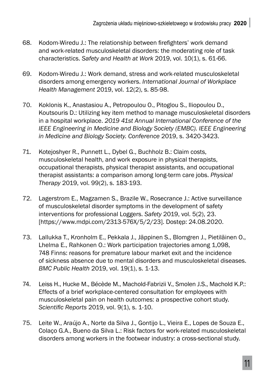- 68. Kodom-Wiredu J.: The relationship between firefighters' work demand and work-related musculoskeletal disorders: the moderating role of task characteristics. *Safety and Health at Work* 2019, vol. 10(1), s. 61-66.
- 69. Kodom-Wiredu J.: Work demand, stress and work-related musculoskeletal disorders among emergency workers. *International Journal of Workplace Health Management* 2019, vol. 12(2), s. 85-98.
- 70. Koklonis K., Anastasiou A., Petropoulou O., Pitoglou S., Iliopoulou D., Koutsouris D.: Utilizing key item method to manage musculoskeletal disorders in a hospital workplace. *2019 41st Annual International Conference of the IEEE Engineering in Medicine and Biology Society (EMBC). IEEE Engineering in Medicine and Biology Society. Conference* 2019, s. 3420-3423.
- 71. Kotejoshyer R., Punnett L., Dybel G., Buchholz B.: Claim costs, musculoskeletal health, and work exposure in physical therapists, occupational therapists, physical therapist assistants, and occupational therapist assistants: a comparison among long-term care jobs. *Physical Therapy* 2019, vol. 99(2), s. 183-193.
- 72. Lagerstrom E., Magzamen S., Brazile W., Rosecrance J.: Active surveillance of musculoskeletal disorder symptoms in the development of safety interventions for professional Loggers. *Safety* 2019, vol. 5(2), 23. [https://www.mdpi.com/2313-576X/5/2/23]. Dostęp: 24.08.2020.
- 73. Lallukka T., Kronholm E., Pekkala J., Jäppinen S., Blomgren J., Pietiläinen O., Lhelma E., Rahkonen O.: Work participation trajectories among 1,098, 748 Finns: reasons for premature labour market exit and the incidence of sickness absence due to mental disorders and musculoskeletal diseases. *BMC Public Health* 2019, vol. 19(1), s. 1-13.
- 74. Leiss H., Hucke M., Bécède M., Machold-Fabrizii V., Smolen J.S., Machold K.P.: Effects of a brief workplace-centered consultation for employees with musculoskeletal pain on health outcomes: a prospective cohort study. *Scientific Reports* 2019, vol. 9(1), s. 1-10.
- 75. Leite W., Araújo A., Norte da Silva J., Gontijo L., Vieira E., Lopes de Souza E., Colaço G.A., Bueno da Silva L.: Risk factors for work-related musculoskeletal disorders among workers in the footwear industry: a cross-sectional study.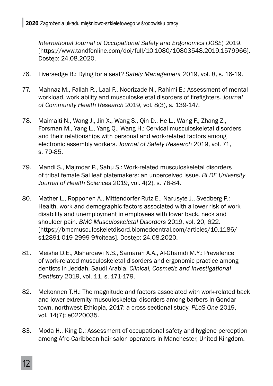*International Journal of Occupational Safety and Ergonomics* (*JOSE*) 2019. [https://www.tandfonline.com/doi/full/10.1080/10803548.2019.1579966]. Dostęp: 24.08.2020.

- 76. Liversedge B.: Dying for a seat? *Safety Management 2*019, vol. 8, s. 16-19.
- 77. Mahnaz M., Fallah R., Laal F., Noorizade N., Rahimi E.: Assessment of mental workload, work ability and musculoskeletal disorders of firefighters. *Journal of Community Health Research* 2019, vol. 8(3), s. 139-147.
- 78. Maimaiti N., Wang J., Jin X., Wang S., Qin D., He L., Wang F., Zhang Z., Forsman M., Yang L., Yang Q., Wang H.: Cervical musculoskeletal disorders and their relationships with personal and work-related factors among electronic assembly workers. *Journal of Safety Research* 2019, vol. 71, s. 79-85.
- 79. Mandi S., Majmdar P., Sahu S.: Work-related musculoskeletal disorders of tribal female Sal leaf platemakers: an unperceived issue. *BLDE University Journal of Health Sciences* 2019, vol. 4(2), s. 78-84.
- 80. Mather L., Ropponen A., Mittendorfer-Rutz E., Narusyte J., Svedberg P.: Health, work and demographic factors associated with a lower risk of work disability and unemployment in employees with lower back, neck and shoulder pain. *BMC Musculoskeletal Disorders* 2019, vol. 20, 622. [https://bmcmusculoskeletdisord.biomedcentral.com/articles/10.1186/ s12891-019-2999-9#citeas]. Dostęp: 24.08.2020.
- 81. Meisha D.E., Alsharqawi N.S., Samarah A.A., Al-Ghamdi M.Y.: Prevalence of work-related musculoskeletal disorders and ergonomic practice among dentists in Jeddah, Saudi Arabia. *Clinical, Cosmetic and Investigational Dentistry* 2019, vol. 11, s. 171-179.
- 82. Mekonnen T.H.: The magnitude and factors associated with work-related back and lower extremity musculoskeletal disorders among barbers in Gondar town, northwest Ethiopia, 2017: a cross-sectional study. *PLoS One* 2019, vol. 14(7): e0220035.
- 83. Moda H., King D.: Assessment of occupational safety and hygiene perception among Afro-Caribbean hair salon operators in Manchester, United Kingdom.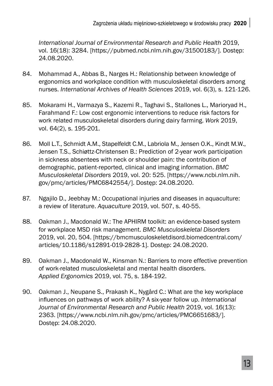*International Journal of Environmental Research and Public Health* 2019, vol. 16(18): 3284. [https://pubmed.ncbi.nlm.nih.gov/31500183/]. Dostęp: 24.08.2020.

- 84. Mohammad A., Abbas B., Narges H.: Relationship between knowledge of ergonomics and workplace condition with musculoskeletal disorders among nurses. *International Archives of Health Sciences* 2019, vol. 6(3), s. 121-126.
- 85. Mokarami H., Varmazya S., Kazemi R., Taghavi S., Stallones L., Marioryad H., Farahmand F.: Low cost ergonomic interventions to reduce risk factors for work related musculoskeletal disorders during dairy farming. *Work* 2019, vol. 64(2), s. 195-201.
- 86. Moll L.T., Schmidt A.M., Stapelfeldt C.M., Labriola M., Jensen O.K., Kindt M.W., Jensen T.S., Schiøttz-Christensen B.: Prediction of 2-year work participation in sickness absentees with neck or shoulder pain: the contribution of demographic, patient-reported, clinical and imaging information. *BMC Musculoskeletal Disorders* 2019, vol. 20: 525. [https://www.ncbi.nlm.nih. gov/pmc/articles/PMC6842554/]. Dostęp: 24.08.2020.
- 87. Ngajilo D., Jeebhay M.: Occupational injuries and diseases in aquaculture: a review of literature. *Aquaculture* 2019, vol. 507, s. 40-55.
- 88. Oakman J., Macdonald W.: The APHIRM toolkit: an evidence-based system for workplace MSD risk management. *BMC Musculoskeletal Disorders*  2019, vol. 20, 504. [https://bmcmusculoskeletdisord.biomedcentral.com/ articles/10.1186/s12891-019-2828-1]. Dostęp: 24.08.2020.
- 89. Oakman J., Macdonald W., Kinsman N.: Barriers to more effective prevention of work-related musculoskeletal and mental health disorders. *Applied Ergonomics* 2019, vol. 75, s. 184-192.
- 90. Oakman J., Neupane S., Prakash K., Nygård C.: What are the key workplace influences on pathways of work ability? A six-year follow up. *International Journal of Environmental Research and Public Health* 2019, vol. 16(13): 2363. [https://www.ncbi.nlm.nih.gov/pmc/articles/PMC6651683/]. Dostęp: 24.08.2020.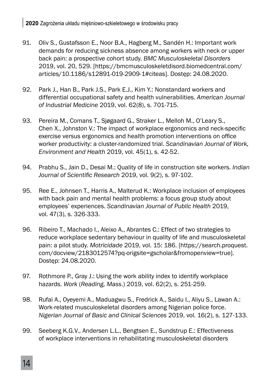- 91. Oliv S., Gustafsson E., Noor B.A., Hagberg M., Sandén H.: Important work demands for reducing sickness absence among workers with neck or upper back pain: a prospective cohort study. *BMC Musculoskeletal Disorders*  2019, vol. 20, 529. [https://bmcmusculoskeletdisord.biomedcentral.com/ articles/10.1186/s12891-019-2909-1#citeas]. Dostęp: 24.08.2020.
- 92. Park J., Han B., Park J.S., Park E.J., Kim Y.: Nonstandard workers and differential occupational safety and health vulnerabilities. *American Journal of Industrial Medicine* 2019, vol. 62(8), s. 701-715.
- 93. Pereira M., Comans T., Sjøgaard G., Straker L., Melloh M., O'Leary S., Chen X., Johnston V.: The impact of workplace ergonomics and neck-specific exercise versus ergonomics and health promotion interventions on office worker productivity: a cluster-randomized trial. *Scandinavian Journal of Work, Environment and Health* 2019, vol. 45(1), s. 42-52.
- 94. Prabhu S., Jain D., Desai M.: Quality of life in construction site workers. *Indian Journal of Scientific Research 2019, vol. 9(2), s. 97-102.*
- 95. Ree E., Johnsen T., Harris A., Malterud K.: Workplace inclusion of employees with back pain and mental health problems: a focus group study about employees' experiences. *Scandinavian Journal of Public Health* 2019, vol. 47(3), s. 326-333.
- 96. Ribeiro T., Machado I., Aleixo A., Abrantes C.: Effect of two strategies to reduce workplace sedentary behaviour in quality of life and musculoskeletal pain: a pilot study. *Motricidade* 2019, vol. 15: 186. [https://search.proquest. com/docview/2183012574?pq-origsite=gscholar&fromopenview=true]. Dostęp: 24.08.2020.
- 97. Rothmore P., Gray J.: Using the work ability index to identify workplace hazards. *Work* (*Reading, Mass*.) 2019, vol. 62(2), s. 251-259.
- 98. Rufai A., Oyeyemi A., Maduagwu S., Fredrick A., Saidu I., Aliyu S., Lawan A.: Work-related musculoskeletal disorders among Nigerian police force. *Nigerian Journal of Basic and Clinical Sciences* 2019, vol. 16(2), s. 127-133.
- 99. Seeberg K.G.V., Andersen L.L., Bengtsen E., Sundstrup E.: Effectiveness of workplace interventions in rehabilitating musculoskeletal disorders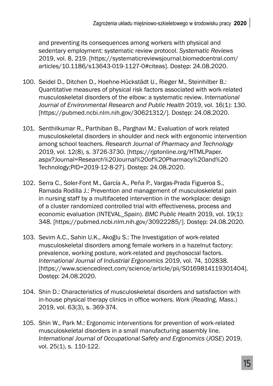and preventing its consequences among workers with physical and sedentary employment: systematic review protocol. *Systematic Reviews*  2019, vol. 8, 219. [https://systematicreviewsjournal.biomedcentral.com/ articles/10.1186/s13643-019-1127-0#citeas]. Dostęp: 24.08.2020.

- 100. Seidel D., Ditchen D., Hoehne-Hückstädt U., Rieger M., Steinhilber B.: Quantitative measures of physical risk factors associated with work-related musculoskeletal disorders of the elbow: a systematic review. *International Journal of Environmental Research and Public Health* 2019, vol. 16(1): 130. [https://pubmed.ncbi.nlm.nih.gov/30621312/]. Dostęp: 24.08.2020.
- 101. Senthilkumar R., Parthiban B., Parghavi M.: Evaluation of work related musculoskeletal disorders in shoulder and neck with ergonomic intervention among school teachers. *Research Journal of Pharmacy and Technology*  2019, vol. 12(8), s. 3726-3730. [https://rjptonline.org/HTMLPaper. aspx?Journal=Research%20Journal%20of%20Pharmacy%20and%20 Technology;PID=2019-12-8-27]. Dostęp: 24.08.2020.
- 102. Serra C., Soler-Font M., García A., Peña P., Vargas-Prada Figueroa S., Ramada Rodilla J.: Prevention and management of musculoskeletal pain in nursing staff by a multifaceted intervention in the workplace: design of a cluster randomized controlled trial with effectiveness, process and economic evaluation (INTEVAL\_Spain). *BMC Public Health* 2019, vol. 19(1): 348. [https://pubmed.ncbi.nlm.nih.gov/30922285/]. Dostęp: 24.08.2020.
- 103. Sevim A.C., Sahin U.K., Akoğlu S.: The Investigation of work-related musculoskeletal disorders among female workers in a hazelnut factory: prevalence, working posture, work-related and psychosocial factors. *International Journal of Industrial Ergonomics* 2019, vol. 74, 102838. [https://www.sciencedirect.com/science/article/pii/S0169814119301404]. Dostęp: 24.08.2020.
- 104. Shin D.: Characteristics of musculoskeletal disorders and satisfaction with in-house physical therapy clinics in office workers. Work (*Reading, Mass.*) 2019, vol. 63(3), s. 369-374.
- 105. Shin W., Park M.: Ergonomic interventions for prevention of work-related musculoskeletal disorders in a small manufacturing assembly line. *International Journal of Occupational Safety and Ergonomics* (*JOSE*) 2019, vol. 25(1), s. 110-122.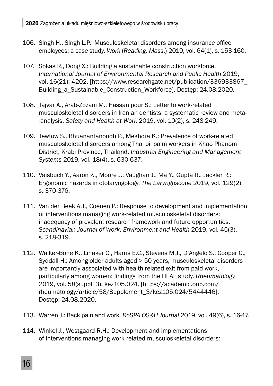- 106. Singh H., Singh L.P.: Musculoskeletal disorders among insurance office employees: a case study. *Work* (*Reading, Mass*.) 2019, vol. 64(1), s. 153-160.
- 107. Sokas R., Dong X.: Building a sustainable construction workforce. *International Journal of Environmental Research and Public Health* 2019, vol. 16(21): 4202. [https://www.researchgate.net/publication/336933867\_ Building a Sustainable Construction Workforce]. Dostęp: 24.08.2020.
- 108. Tajvar A., Arab-Zozani M., Hassanipour S.: Letter to work-related musculoskeletal disorders in Iranian dentists: a systematic review and meta- -analysis. *Safety and Health at Work* 2019, vol. 10(2), s. 248-249.
- 109. Tewtow S., Bhuanantanondh P., Mekhora K.: Prevalence of work-related musculoskeletal disorders among Thai oil palm workers in Khao Phanom District, Krabi Province, Thailand. *Industrial Engineering and Management Systems* 2019, vol. 18(4), s. 630-637.
- 110. Vaisbuch Y., Aaron K., Moore J., Vaughan J., Ma Y., Gupta R., Jackler R.: Ergonomic hazards in otolaryngology. *The Laryngoscope* 2019, vol. 129(2), s. 370-376.
- 111. Van der Beek A.J., Coenen P.: Response to development and implementation of interventions managing work-related musculoskeletal disorders: inadequacy of prevalent research framework and future opportunities. *Scandinavian Journal of Work*, *Environment and Health* 2019, vol. 45(3), s. 218-319.
- 112. Walker-Bone K., Linaker C., Harris E.C., Stevens M.J., D'Angelo S., Cooper C., Syddall H.: Among older adults aged > 50 years, musculoskeletal disorders are importantly associated with health-related exit from paid work, particularly among women: fi ndings from the HEAF study. *Rheumatology*  2019, vol. 58(suppl. 3), kez105.024. [https://academic.oup.com/ rheumatology/article/58/Supplement\_3/kez105.024/5444446]. Dostęp: 24.08.2020.
- 113. Warren J.: Back pain and work. *RoSPA OS&H Journal* 2019, vol. 49(6), s. 16-17.
- 114. Winkel J., Westgaard R.H.: Development and implementations of interventions managing work related musculoskeletal disorders: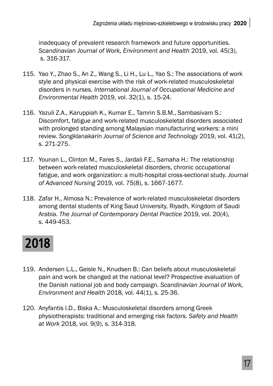inadequacy of prevalent research framework and future opportunities. *Scandinavian Journal of Work, Environment and Health* 2019, vol. 45(3), s. 316-317.

- 115. Yao Y., Zhao S., An Z., Wang S., Li H., Lu L., Yao S.: The associations of work style and physical exercise with the risk of work-related musculoskeletal disorders in nurses. *International Journal of Occupational Medicine and Environmental Health* 2019, vol. 32(1), s. 15-24.
- 116. Yazuli Z.A., Karuppiah K., Kumar E., Tamrin S.B.M., Sambasivam S.: Discomfort, fatigue and work-related musculoskeletal disorders associated with prolonged standing among Malaysian manufacturing workers: a mini review. *Songklanakarin Journal of Science and Technology* 2019, vol. 41(2), s. 271-275.
- 117. Younan L., Clinton M., Fares S., Jardali F.E., Samaha H.: The relationship between work-related musculoskeletal disorders, chronic occupational fatigue, and work organization: a multi-hospital cross-sectional study. *Journal of Advanced Nursing* 2019, vol. 75(8), s. 1667-1677.
- 118. Zafar H., Almosa N.: Prevalence of work-related musculoskeletal disorders among dental students of King Saud University, Riyadh, Kingdom of Saudi Arabia. *The Journal of Contemporary Dental Practice* 2019, vol. 20(4), s. 449-453.

## **2018**

- 119. Andersen L.L., Geisle N., Knudsen B.: Can beliefs about musculoskeletal pain and work be changed at the national level? Prospective evaluation of the Danish national job and body campaign. *Scandinavian Journal of Work, Environment and Health* 2018, vol. 44(1), s. 25-36.
- 120. Anyfantis I.D., Biska A.: Musculoskeletal disorders among Greek physiotherapists: traditional and emerging risk factors. *Safety and Health at Work* 2018, vol. 9(9), s. 314-318.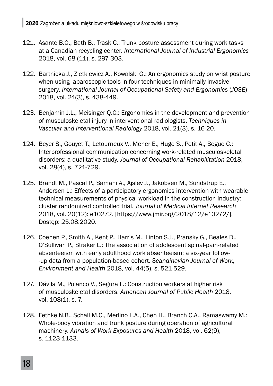- 121. Asante B.O., Bath B., Trask C.: Trunk posture assessment during work tasks at a Canadian recycling center. *International Journal of Industrial Ergonomics*  2018, vol. 68 (11), s. 297-303.
- 122. Bartnicka J., Zietkiewicz A., Kowalski G.: An ergonomics study on wrist posture when using laparoscopic tools in four techniques in minimally invasive surgery. *International Journal of Occupational Safety and Ergonomics* (*JOSE*) 2018, vol. 24(3), s. 438-449.
- 123. Benjamin J.L., Meisinger Q.C.: Ergonomics in the development and prevention of musculoskeletal injury in interventional radiologists. *Techniques in Vascular and Interventional Radiology* 2018, vol. 21(3), s. 16-20.
- 124. Beyer S., Gouyet T., Letourneux V., Mener E., Huge S., Petit A., Begue C.: Interprofessional communication concerning work-related musculoskeletal disorders: a qualitative study. *Journal of Occupational Rehabilitation* 2018, vol. 28(4), s. 721-729.
- 125. Brandt M., Pascal P., Samani A., Ajslev J., Jakobsen M., Sundstrup E., Andersen L.: Effects of a participatory ergonomics intervention with wearable technical measurements of physical workload in the construction industry: cluster randomized controlled trial. *Journal of Medical Internet Research*  2018, vol. 20(12): e10272. [https://www.jmir.org/2018/12/e10272/]. Dostęp: 25.08.2020.
- 126. Coenen P., Smith A., Kent P., Harris M., Linton S.J., Pransky G., Beales D., O'Sullivan P., Straker L.: The association of adolescent spinal-pain-related absenteeism with early adulthood work absenteeism: a six-year follow- -up data from a population-based cohort. *Scandinavian Journal of Work, Environment and Health* 2018, vol. 44(5), s. 521-529.
- 127. Dávila M., Polanco V., Segura L.: Construction workers at higher risk of musculoskeletal disorders. *American Journal of Public Health* 2018, vol. 108(1), s. 7.
- 128. Fethke N.B., Schall M.C., Merlino L.A., Chen H., Branch C.A., Ramaswamy M.: Whole-body vibration and trunk posture during operation of agricultural machinery. *Annals of Work Exposures and Health* 2018, vol. 62(9), s. 1123-1133.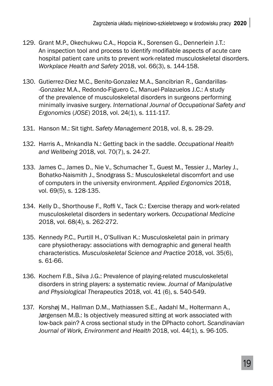- 129. Grant M.P., Okechukwu C.A., Hopcia K., Sorensen G., Dennerlein J.T.: An inspection tool and process to identify modifiable aspects of acute care hospital patient care units to prevent work-related musculoskeletal disorders. *Workplace Health and Safety* 2018, vol. 66(3), s. 144-158.
- 130. Gutierrez-Diez M.C., Benito-Gonzalez M.A., Sancibrian R., Gandarillas- -Gonzalez M.A., Redondo-Figuero C., Manuel-Palazuelos J.C.: A study of the prevalence of musculoskeletal disorders in surgeons performing minimally invasive surgery. *International Journal of Occupational Safety and Ergonomics* (*JOSE*) 2018, vol. 24(1), s. 111-117.
- 131. Hanson M.: Sit tight. *Safety Management* 2018, vol. 8, s. 28-29.
- 132. Harris A., Mnkandla N.: Getting back in the saddle. *Occupational Health and Wellbeing* 2018, vol. 70(7), s. 24-27.
- 133. James C., James D., Nie V., Schumacher T., Guest M., Tessier J., Marley J., Bohatko-Naismith J., Snodgrass S.: Musculoskeletal discomfort and use of computers in the university environment. *Applied Ergonomics* 2018, vol. 69(5), s. 128-135.
- 134. Kelly D., Shorthouse F., Roffi V., Tack C.: Exercise therapy and work-related musculoskeletal disorders in sedentary workers. *Occupational Medicine*  2018, vol. 68(4), s. 262-272.
- 135. Kennedy P.C., Purtill H., O'Sullivan K.: Musculoskeletal pain in primary care physiotherapy: associations with demographic and general health characteristics. *Musculoskeletal Science and Practice* 2018, vol. 35(6), s. 61-66.
- 136. Kochem F.B., Silva J.G.: Prevalence of playing-related musculoskeletal disorders in string players: a systematic review. *Journal of Manipulative and Physiological Therapeutics* 2018, vol. 41 (6), s. 540-549.
- 137. Korshøj M., Hallman D.M., Mathiassen S.E., Aadahl M., Holtermann A., Jørgensen M.B.: Is objectively measured sitting at work associated with low-back pain? A cross sectional study in the DPhacto cohort. *Scandinavian Journal of Work, Environment and Health* 2018, vol. 44(1), s. 96-105.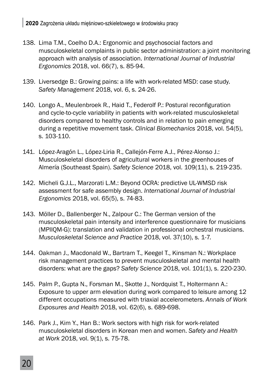- 138. Lima T.M., Coelho D.A.: Ergonomic and psychosocial factors and musculoskeletal complaints in public sector administration: a joint monitoring approach with analysis of association. *International Journal of Industrial Ergonomics* 2018, vol. 66(7), s. 85-94.
- 139. Liversedge B.: Growing pains: a life with work-related MSD: case study. *Safety Management* 2018, vol. 6, s. 24-26.
- 140. Longo A., Meulenbroek R., Haid T., Federolf P.: Postural reconfiguration and cycle-to-cycle variability in patients with work-related musculoskeletal disorders compared to healthy controls and in relation to pain emerging during a repetitive movement task. *Clinical Biomechanics* 2018, vol. 54(5), s. 103-110.
- 141. López-Aragón L., López-Liria R., Callejón-Ferre A.J., Pérez-Alonso J.: Musculoskeletal disorders of agricultural workers in the greenhouses of Almería (Southeast Spain). *Safety Science* 2018, vol. 109(11), s. 219-235.
- 142. Micheli G.J.L., Marzorati L.M.: Beyond OCRA: predictive UL-WMSD risk assessment for safe assembly design. *International Journal of Industrial Ergonomics* 2018, vol. 65(5), s. 74-83.
- 143. Möller D., Ballenberger N., Zalpour C.: The German version of the musculoskeletal pain intensity and interference questionnaire for musicians (MPIIQM-G): translation and validation in professional orchestral musicians. *Musculoskeletal Science and Practice* 2018, vol. 37(10), s. 1-7.
- 144. Oakman J., Macdonald W., Bartram T., Keegel T., Kinsman N.: Workplace risk management practices to prevent musculoskeletal and mental health disorders: what are the gaps? *Safety Science* 2018, vol. 101(1), s. 220-230.
- 145. Palm P., Gupta N., Forsman M., Skotte J., Nordquist T., Holtermann A.: Exposure to upper arm elevation during work compared to leisure among 12 different occupations measured with triaxial accelerometers. *Annals of Work Exposures and Health* 2018, vol. 62(6), s. 689-698.
- 146. Park J., Kim Y., Han B.: Work sectors with high risk for work-related musculoskeletal disorders in Korean men and women. *Safety and Health at Work* 2018, vol. 9(1), s. 75-78.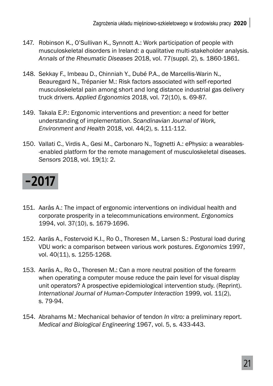- 147. Robinson K., O'Sullivan K., Synnott A.: Work participation of people with musculoskeletal disorders in Ireland: a qualitative multi-stakeholder analysis. *Annals of the Rheumatic Diseases* 2018, vol. 77(suppl. 2), s. 1860-1861.
- 148. Sekkay F., Imbeau D., Chinniah Y., Dubé P.A., de Marcellis-Warin N., Beauregard N., Trépanier M.: Risk factors associated with self-reported musculoskeletal pain among short and long distance industrial gas delivery truck drivers. *Applied Ergonomics* 2018, vol. 72(10), s. 69-87.
- 149. Takala E.P.: Ergonomic interventions and prevention: a need for better understanding of implementation. *Scandinavian Journal of Work, Environment and Health* 2018, vol. 44(2), s. 111-112.
- 150. Vallati C., Virdis A., Gesi M., Carbonaro N., Tognetti A.: ePhysio: a wearables- -enabled platform for the remote management of musculoskeletal diseases. *Sensors* 2018, vol. 19(1): 2.

#### **-2017**

- 151. Aarås A.: The impact of ergonomic interventions on individual health and corporate prosperity in a telecommunications environment. *Ergonomics*  1994, vol. 37(10), s. 1679-1696.
- 152. Aaräs A., Fostervoid K.I., Ro O., Thoresen M., Larsen S.: Postural load during VDU work: a comparison between various work postures. *Ergonomics* 1997, vol. 40(11), s. 1255-1268.
- 153. Aaräs A., Ro O., Thoresen M.: Can a more neutral position of the forearm when operating a computer mouse reduce the pain level for visual display unit operators? A prospective epidemiological intervention study. (Reprint). *International Journal of Human-Computer Interaction* 1999, vol. 11(2), s. 79-94.
- 154. Abrahams M.: Mechanical behavior of tendon *In vitro:* a preliminary report. *Medical and Biological Engineering* 1967, vol. 5, s. 433-443.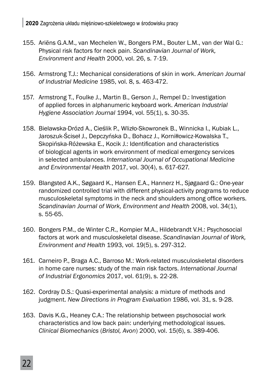- 155. Ariёns G.A.M., van Mechelen W., Bongers P.M., Bouter L.M., van der Wal G.: Physical risk factors for neck pain. *Scandinavian Journal of Work, Environment and Health* 2000, vol. 26, s. 7-19.
- 156. Armstrong T.J.: Mechanical considerations of skin in work. *American Journal of Industrial Medicine* 1985, vol. 8, s. 463-472.
- 157. Armstrong T., Foulke J., Martin B., Gerson J., Rempel D.: Investigation of applied forces in alphanumeric keyboard work. *American Industrial Hygiene Association Journal* 1994, vol. 55(1), s. 30-35.
- 158. Bielawska-Drózd A., Cieślik P., Wlizło-Skowronek B., Winnicka I., Kubiak L., Jaroszuk-Ściseł J., Depczyńska D., Bohacz J., Korniłłowicz-Kowalska T., Skopińska-Różewska E., Kocik J.: Identification and characteristics of biological agents in work environment of medical emergency services in selected ambulances. *International Journal of Occupational Medicine and Environmental Health* 2017, vol. 30(4), s. 617-627.
- 159. Blangsted A.K., Søgaard K., Hansen E.A., Hannerz H., Sjøgaard G.: One-year randomized controlled trial with different physical-activity programs to reduce musculoskeletal symptoms in the neck and shoulders among office workers. *Scandinavian Journal of Work, Environment and Health* 2008, vol. 34(1), s. 55-65.
- 160. Bongers P.M., de Winter C.R., Kompier M.A., Hildebrandt V.H.: Psychosocial factors at work and musculoskeletal disease. *Scandinavian Journal of Work, Environment and Health* 1993, vol. 19(5), s. 297-312.
- 161. Carneiro P., Braga A.C., Barroso M.: Work-related musculoskeletal disorders in home care nurses: study of the main risk factors. *International Journal of Industrial Ergonomics* 2017, vol. 61(9), s. 22-28.
- 162. Cordray D.S.: Quasi-experimental analysis: a mixture of methods and judgment. *New Directions in Program Evaluation* 1986, vol. 31, s. 9-28.
- 163. Davis K.G., Heaney C.A.: The relationship between psychosocial work characteristics and low back pain: underlying methodological issues. *Clinical Biomechanics* (*Bristol, Avon*) 2000, vol. 15(6), s. 389-406.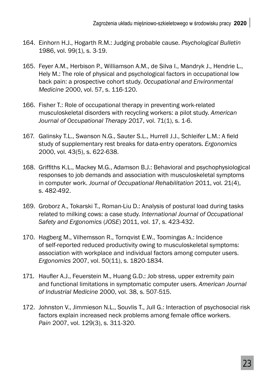- 164. Einhorn H.J., Hogarth R.M.: Judging probable cause. *Psychological Bulletin*  1986, vol. 99(1), s. 3-19.
- 165. Feyer A.M., Herbison P., Williamson A.M., de Silva I., Mandryk J., Hendrie L., Hely M.: The role of physical and psychological factors in occupational low back pain: a prospective cohort study. *Occupational and Environmental Medicine* 2000, vol. 57, s. 116-120.
- 166. Fisher T.: Role of occupational therapy in preventing work-related musculoskeletal disorders with recycling workers: a pilot study. *American Journal of Occupational Therapy* 2017, vol. 71(1), s. 1-6.
- 167. Galinsky T.L., Swanson N.G., Sauter S.L., Hurrell J.J., Schleifer L.M.: A field study of supplementary rest breaks for data-entry operators. *Ergonomics* 2000, vol. 43(5), s. 622-638.
- 168. Griffiths K.L., Mackey M.G., Adamson B.J.: Behavioral and psychophysiological responses to job demands and association with musculoskeletal symptoms in computer work. *Journal of Occupational Rehabilitation* 2011, vol. 21(4), s. 482-492.
- 169. Groborz A., Tokarski T., Roman-Liu D.: Analysis of postural load during tasks related to milking cows: a case study. *International Journal of Occupational Safety and Ergonomics* (*JOSE*) 2011, vol. 17, s. 423-432.
- 170. Hagberg M., Vilhemsson R., Tornqvist E.W., Toomingas A.: Incidence of self-reported reduced productivity owing to musculoskeletal symptoms: association with workplace and individual factors among computer users. *Ergonomics* 2007, vol. 50(11), s. 1820-1834.
- 171. Haufler A.J., Feuerstein M., Huang G.D.: Job stress, upper extremity pain and functional limitations in symptomatic computer users. *American Journal of Industrial Medicine* 2000, vol. 38, s. 507-515.
- 172. Johnston V., Jimmieson N.L., Souvlis T., Jull G.: Interaction of psychosocial risk factors explain increased neck problems among female office workers. *Pain* 2007, vol. 129(3), s. 311-320.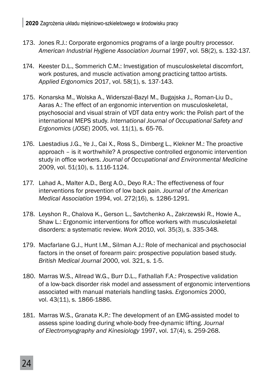- 173. Jones R.J.: Corporate ergonomics programs of a large poultry processor. *American Industrial Hygiene Association Journal* 1997, vol. 58(2), s. 132-137.
- 174. Keester D.L., Sommerich C.M.: Investigation of musculoskeletal discomfort, work postures, and muscle activation among practicing tattoo artists. *Applied Ergonomics* 2017, vol. 58(1), s. 137-143.
- 175. Konarska M., Wolska A., Widerszal-Bazyl M., Bugajska J., Roman-Liu D., Aaras A.: The effect of an ergonomic intervention on musculoskeletal, psychosocial and visual strain of VDT data entry work: the Polish part of the international MEPS study. *International Journal of Occupational Safety and Ergonomics* (*JOSE*) 2005, vol. 11(1), s. 65-76.
- 176. Laestadius J.G., Ye J., Cai X., Ross S., Dimberg L., Klekner M.: The proactive approach – is it worthwhile? A prospective controlled ergonomic intervention study in office workers. Journal of Occupational and Environmental Medicine 2009, vol. 51(10), s. 1116-1124.
- 177. Lahad A., Malter A.D., Berg A.O., Deyo R.A.: The effectiveness of four interventions for prevention of low back pain. *Journal of the American Medical Association* 1994, vol. 272(16), s. 1286-1291.
- 178. Leyshon R., Chalova K., Gerson L., Savtchenko A., Zakrzewski R., Howie A., Shaw L.: Ergonomic interventions for office workers with musculoskeletal disorders: a systematic review. *Work* 2010, vol. 35(3), s. 335-348.
- 179. Macfarlane G.J., Hunt I.M., Silman A.J.: Role of mechanical and psychosocial factors in the onset of forearm pain: prospective population based study. *British Medical Journal 2*000, vol. 321, s. 1-5.
- 180. Marras W.S., Allread W.G., Burr D.L., Fathallah F.A.: Prospective validation of a low-back disorder risk model and assessment of ergonomic interventions associated with manual materials handling tasks. *Ergonomics* 2000, vol. 43(11), s. 1866-1886.
- 181. Marras W.S., Granata K.P.: The development of an EMG-assisted model to assess spine loading during whole-body free-dynamic lifting. *Journal of Electromyography and Kinesiology* 1997, vol. 17(4), s. 259-268.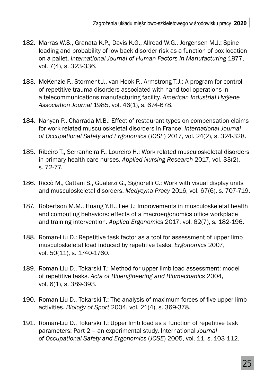- 182. Marras W.S., Granata K.P., Davis K.G., Allread W.G., Jorgensen M.J.: Spine loading and probability of low back disorder risk as a function of box location on a pallet. *International Journal of Human Factors in Manufacturing* 1977, vol. 7(4), s. 323-336.
- 183. McKenzie F., Storment J., van Hook P., Armstrong T.J.: A program for control of repetitive trauma disorders associated with hand tool operations in a telecommunications manufacturing facility. *American Industrial Hygiene Association Journal* 1985, vol. 46(1), s. 674-678.
- 184. Nanyan P., Charrada M.B.: Effect of restaurant types on compensation claims for work-related musculoskeletal disorders in France. *International Journal of Occupational Safety and Ergonomics* (*JOSE*) 2017, vol. 24(2), s. 324-328.
- 185. Ribeiro T., Serranheira F., Loureiro H.: Work related musculoskeletal disorders in primary health care nurses. *Applied Nursing Research* 2017, vol. 33(2), s. 72-77.
- 186. Riccò M., Cattani S., Gualerzi G., Signorelli C.: Work with visual display units and musculoskeletal disorders. *Medycyna Pracy* 2016, vol. 67(6), s. 707-719.
- 187. Robertson M.M., Huang Y.H., Lee J.: Improvements in musculoskeletal health and computing behaviors: effects of a macroergonomics office workplace and training intervention. *Applied Ergonomics* 2017, vol. 62(7), s. 182-196.
- 188. Roman-Liu D.: Repetitive task factor as a tool for assessment of upper limb musculoskeletal load induced by repetitive tasks. *Ergonomics* 2007, vol. 50(11), s. 1740-1760.
- 189. Roman-Liu D., Tokarski T.: Method for upper limb load assessment: model of repetitive tasks. *Acta of Bioengineering and Biomechanics* 2004, vol. 6(1), s. 389-393.
- 190. Roman-Liu D., Tokarski T.: The analysis of maximum forces of five upper limb activities. *Biology of Sport* 2004, vol. 21(4), s. 369-378.
- 191. Roman-Liu D., Tokarski T.: Upper limb load as a function of repetitive task parameters: Part 2 – an experimental study. International *Journal of Occupational Safety and Ergonomics* (*JOSE*) 2005, vol. 11, s. 103-112.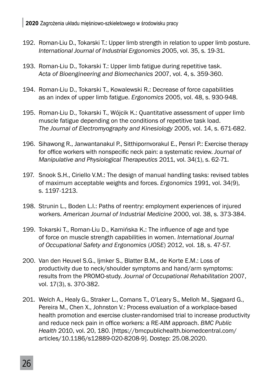- 192. Roman-Liu D., Tokarski T.: Upper limb strength in relation to upper limb posture. *International Journal of Industrial Ergonomics 2*005, vol. 35, s. 19-31.
- 193. Roman-Liu D., Tokarski T.: Upper limb fatigue during repetitive task. *Acta of Bioengineering and Biomechanics* 2007, vol. 4, s. 359-360.
- 194. Roman-Liu D., Tokarski T., Kowalewski R.: Decrease of force capabilities as an index of upper limb fatigue. *Ergonomics* 2005, vol. 48, s. 930-948.
- 195. Roman-Liu D., Tokarski T., Wójcik K.: Quantitative assessment of upper limb muscle fatigue depending on the conditions of repetitive task load. *The Journal of Electromyography and Kinesiology* 2005, vol. 14, s. 671-682.
- 196. Sihawong R., Janwantanakul P., Sitthipornvorakul E., Pensri P.: Exercise therapy for office workers with nonspecific neck pain: a systematic review. *Journal of Manipulative and Physiological Therapeutics* 2011, vol. 34(1), s. 62-71.
- 197. Snook S.H., Ciriello V.M.: The design of manual handling tasks: revised tables of maximum acceptable weights and forces. *Ergonomics* 1991, vol. 34(9), s. 1197-1213.
- 198. Strunin L., Boden L.I.: Paths of reentry: employment experiences of injured workers. *American Journal of Industrial Medicine* 2000, vol. 38, s. 373-384.
- 199. Tokarski T., Roman-Liu D., Kamińska K.: The influence of age and type of force on muscle strength capabilities in women. *International Journal of Occupational Safety and Ergonomics* (*JOSE*) 2012, vol. 18, s. 47-57.
- 200. Van den Heuvel S.G., Ijmker S., Blatter B.M., de Korte E.M.: Loss of productivity due to neck/shoulder symptoms and hand/arm symptoms: results from the PROMO-study. *Journal of Occupational Rehabilitation* 2007, vol. 17(3), s. 370-382.
- 201. Welch A., Healy G., Straker L., Comans T., O'Leary S., Melloh M., Sjøgaard G., Pereira M., Chen X., Johnston V.: Process evaluation of a workplace-based health promotion and exercise cluster-randomised trial to increase productivity and reduce neck pain in office workers: a RE-AIM approach. *BMC Public Health* 2010, vol. 20, 180. [https://bmcpublichealth.biomedcentral.com/ articles/10.1186/s12889-020-8208-9]. Dostęp: 25.08.2020.